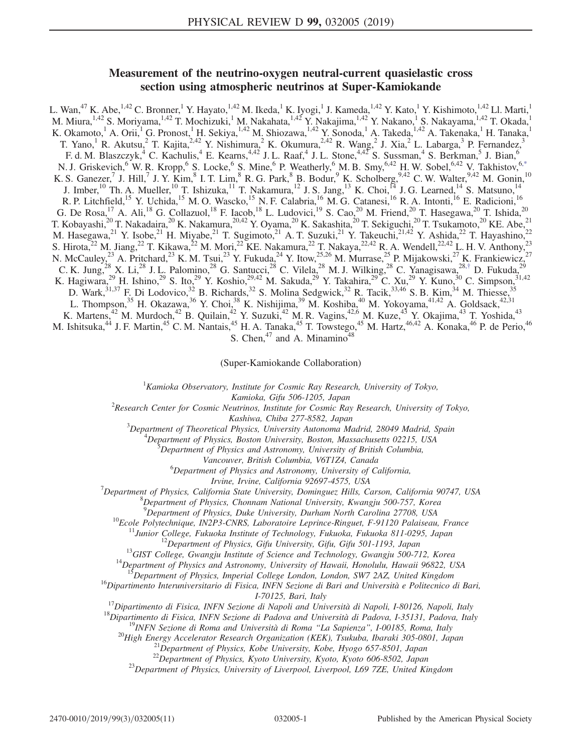# Measurement of the neutrino-oxygen neutral-current quasielastic cross section using atmospheric neutrinos at Super-Kamiokande

<span id="page-0-0"></span>L. Wan,<sup>47</sup> K. Abe,<sup>1,42</sup> C. Bronner,<sup>1</sup> Y. Hayato,<sup>1,42</sup> M. Ikeda,<sup>1</sup> K. Iyogi,<sup>1</sup> J. Kameda,<sup>1,42</sup> Y. Kato,<sup>1</sup> Y. Kishimoto,<sup>1,42</sup> Ll. Marti,<sup>1</sup> M. Miura, <sup>1,42</sup> S. Moriyama, <sup>1,42</sup> T. Mochizuki, <sup>1</sup> M. Nakahata, <sup>1,42</sup> Y. Nakajima, <sup>1,42</sup> Y. Nakano, <sup>1</sup> S. Nakayama, <sup>1,42</sup> T. Okada, <sup>1</sup> K. Okamoto,<sup>1</sup> A. Orii,<sup>1</sup> G. Pronost,<sup>1</sup> H. Sekiya,<sup>1,42</sup> M. Shiozawa,<sup>1,42</sup> Y. Sonoda,<sup>1</sup> A. Takeda,<sup>1,42</sup> A. Takenaka,<sup>1</sup> H. Tanaka,<sup>1</sup> T. Yano,<sup>1</sup> R. Akutsu,<sup>2</sup> T. Kajita,<sup>2,42</sup> Y. Nishimura,<sup>2</sup> K. Okumura,<sup>2,42</sup> R. Wang,<sup>2</sup> J. Xia,<sup>2</sup> L. Labarga,<sup>3</sup> P. Fernandez,<sup>3</sup> F. d. M. Blaszczyk,<sup>4</sup> C. Kachulis,<sup>4</sup> E. Kearns,<sup>4,42</sup> J. L. Raaf,<sup>4</sup> J. L. Stone,<sup>4,42</sup> S. Sussman,<sup>4</sup> S. Berkman,<sup>5</sup> J. Bian,<sup>6</sup> N. J. Griskevich,<sup>6</sup> W. R. Kropp,<sup>6</sup> S. Locke,<sup>6</sup> S. Mine,<sup>6</sup> P. Weatherly,<sup>6</sup> M. B. Smy,<sup>6,42</sup> H. W. Sobel,<sup>6,42</sup> V. Takhistov,<sup>[6,\\*](#page-1-0)</sup> K. S. Ganezer,<sup>7</sup> J. Hill,<sup>7</sup> J. Y. Kim,<sup>8</sup> I. T. Lim,<sup>8</sup> R. G. Park,<sup>8</sup> B. Bodur,<sup>9</sup> K. Scholberg,<sup>9,42</sup> C. W. Walter,<sup>9,42</sup> M. Gonin,<sup>10</sup> J. Imber,<sup>10</sup> Th. A. Mueller,<sup>10</sup> T. Ishizuka,<sup>11</sup> T. Nakamura,<sup>12</sup> J. S. Jang,<sup>13</sup> K. Choi,<sup>14</sup> J. G. Learned,<sup>14</sup> S. Matsuno,<sup>14</sup> R. P. Litchfield,<sup>15</sup> Y. Uchida,<sup>15</sup> M. O. Wascko,<sup>15</sup> N. F. Calabria,<sup>16</sup> M. G. Catanesi,<sup>16</sup> R. A. Intonti,<sup>16</sup> E. Radicioni,<sup>16</sup> G. De Rosa,<sup>17</sup> A. Ali,<sup>18</sup> G. Collazuol,<sup>18</sup> F. Iacob,<sup>18</sup> L. Ludovici,<sup>19</sup> S. Cao,<sup>20</sup> M. Friend,<sup>20</sup> T. Hasegawa,<sup>20</sup> T. Ishida,<sup>20</sup> T. Kobayashi,<sup>20</sup> T. Nakadaira,<sup>20</sup> K. Nakamura,<sup>20,42</sup> Y. Oyama,<sup>20</sup> K. Sakashita,<sup>20</sup> T. Sekiguchi,<sup>20</sup> T. Tsukamoto,<sup>20</sup> KE. Abe,<sup>21</sup> M. Hasegawa,<sup>21</sup> Y. Isobe,<sup>21</sup> H. Miyabe,<sup>21</sup> T. Sugimoto,<sup>21</sup> A. T. Suzuki,<sup>21</sup> Y. Takeuchi,<sup>21,42</sup> Y. Ashida,<sup>22</sup> T. Hayashino,<sup>22</sup> S. Hirota,  $^{22}$  M. Jiang,  $^{22}$  T. Kikawa,  $^{22}$  M. Mori,  $^{22}$  KE. Nakamura,  $^{22}$  T. Nakaya,  $^{22,42}$  R. A. Wendell,  $^{22,42}$  L. H. V. Anthony,  $^{23}$ N. McCauley,  $2^3$  A. Pritchard,  $2^3$  K. M. Tsui,  $2^3$  Y. Fukuda,  $2^4$  Y. Itow,  $2^{5,26}$  M. Murrase,  $2^5$  P. Mijakowski,  $2^7$  K. Frankiewicz,  $2^7$ C. K. Jung,<sup>28</sup> X. Li,<sup>28</sup> J. L. Palomino,<sup>28</sup> G. Santucci,<sup>28</sup> C. Vilela,<sup>28</sup> M. J. Wilking,<sup>28</sup> C. Yanagisawa,<sup>28,[†](#page-1-1)</sup> D. Fukuda,<sup>29</sup> K. Hagiwara,<sup>29</sup> H. Ishino,<sup>29</sup> S. Ito,<sup>29</sup> Y. Koshio,<sup>29,42</sup> M. Sakuda,<sup>29</sup> Y. Takahira,<sup>29</sup> C. Xu,<sup>29</sup> Y. Kuno,<sup>30</sup> C. Simpson,<sup>31,42</sup> D. Wark,<sup>31,37</sup> F. Di Lodovico,<sup>32</sup> B. Richards,<sup>32</sup> S. Molina Sedgwick,<sup>32</sup> R. Tacik,<sup>33,46</sup> S. B. Kim,<sup>34</sup> M. Thiesse,<sup>35</sup> L. Thompson,<sup>35</sup> H. Okazawa,<sup>36</sup> Y. Choi,<sup>38</sup> K. Nishijima,<sup>39</sup> M. Koshiba,<sup>40</sup> M. Yokoyama,<sup>41,42</sup> A. Goldsack,<sup>42,31</sup> K. Martens,<sup>42</sup> M. Murdoch,<sup>42</sup> B. Quilain,<sup>42</sup> Y. Suzuki,<sup>42</sup> M. R. Vagins,<sup>42,6</sup> M. Kuze,<sup>43</sup> Y. Okajima,<sup>43</sup> T. Yoshida,<sup>43</sup> M. Ishitsuka,<sup>44</sup> J. F. Martin,<sup>45</sup> C. M. Nantais,<sup>45</sup> H. A. Tanaka,<sup>45</sup> T. Towstego,<sup>45</sup> M. Hartz,<sup>46,42</sup> A. Konaka,<sup>46</sup> P. de Perio,<sup>46</sup> S. Chen, $47$  and A. Minamino $48$ 

(Super-Kamiokande Collaboration)

 ${}^{1}$ Kamioka Observatory, Institute for Cosmic Ray Research, University of Tokyo,

<span id="page-0-1"></span>Kamioka, Gifu 506-1205, Japan<br>Research Center for Cosmic Neutrinos, Institute for Cosmic Ray Research, University of Tokyo,

Kashiwa, Chiba 277-8582, Japan<br><sup>3</sup>Department of Theoretical Physics, University Autonoma M

Department of Theoretical Physics, University Autonoma Madrid, 28049 Madrid, Spain <sup>4</sup>

 $^4$ Department of Physics, Boston University, Boston, Massachusetts 02215, USA

 $\delta$ Department of Physics and Astronomy, University of British Columbia,

Vancouver, British Columbia, V6T1Z4, Canada <sup>6</sup>

 ${}^{6}$ Department of Physics and Astronomy, University of California,

Irvine, Irvine, California 92697-4575, USA <sup>7</sup>

<sup>'</sup>Department of Physics, California State University, Dominguez Hills, Carson, California 90747, USA

 ${}^{8}$ Department of Physics, Chonnam National University, Kwangju 500-757, Korea

<sup>9</sup>Department of Physics, Duke University, Durham North Carolina 27708, USA

<sup>10</sup>Ecole Polytechnique, IN2P3-CNRS, Laboratoire Leprince-Ringuet, F-91120 Palaiseau, France<br><sup>11</sup>Junior College, Fukuoka Institute of Technology, Fukuoka, Fukuoka 811-0295, Japan<br><sup>12</sup>Department of Physics, Gifu University

<sup>16</sup>Dipartimento Interuniversitario di Fisica, INFN Sezione di Bari and Università e Politecnico di Bari,<br>I-70125, Bari, Italy

<sup>17</sup>Dipartimento di Fisica, INFN Sezione di Napoli and Università di Napoli, I-80126, Napoli, Italy<br><sup>18</sup>Dipartimento di Fisica, INFN Sezione di Padova and Università di Padova, I-35131, Padova, Italy<br><sup>19</sup>INFN Sezione di R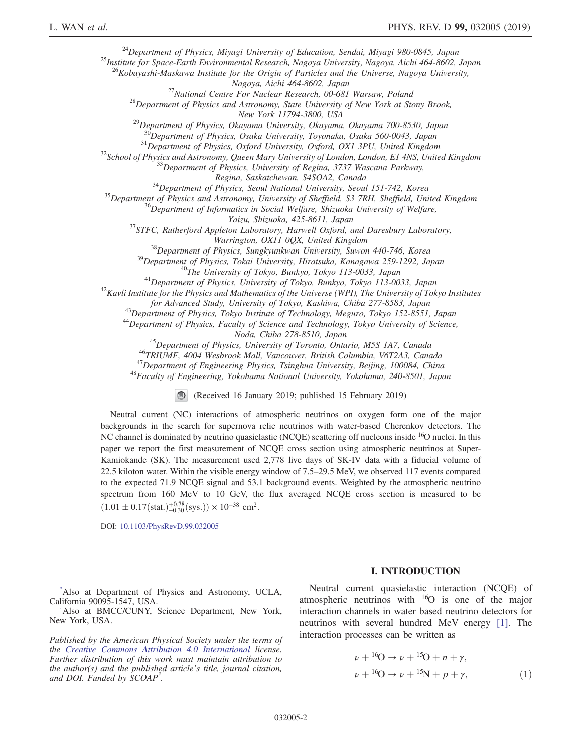<sup>24</sup>Department of Physics, Miyagi University of Education, Sendai, Miyagi 980-0845, Japan <sup>25</sup>Institute for Space-Earth Environmental Research, Nagoya University, Nagoya, Aichi 464-8602, Japan

<sup>26</sup>Kobayashi-Maskawa Institute for the Origin of Particles and the Universe, Nagoya University,<br>Nagoya, Aichi 464-8602, Japan

<sup>27</sup>National Centre For Nuclear Research, 00-681 Warsaw, Poland<br><sup>28</sup>Department of Physics and Astronomy, State University of New York at Stony Brook,<br>New York 11794-3800, USA

 $^{29}$ Department of Physics, Okayama University, Okayama, Okayama 700-8530, Japan

<sup>30</sup>Department of Physics, Osaka University, Toyonaka, Osaka 560-0043, Japan<br><sup>31</sup>Department of Physics, Oxford University, Oxford, OX1 3PU, United Kingdom<br><sup>32</sup>School of Physics and Astronomy, Queen Mary University of Lond

<sup>34</sup>Department of Physics, Seoul National University, Seoul 151-742, Korea<br><sup>35</sup>Department of Physics and Astronomy, University of Sheffield, S3 7RH, Sheffield, United Kingdom<br><sup>36</sup>Department of Informatics in Social Welfar

 $^{37}$ STFC, Rutherford Appleton Laboratory, Harwell Oxford, and Daresbury Laboratory,

Warrington, OX11 0QX, United Kingdom<br><sup>38</sup>Department of Physics, Sungkyunkwan University, Suwon 440-746, Korea<br><sup>39</sup>Department of Physics, Tokai University, Hiratsuka, Kanagawa 259-1292, Japan<br><sup>40</sup>The University of Tokyo, Bu

for Advanced Study, University of Tokyo, Kashiwa, Chiba 277-8583, Japan<br><sup>43</sup>Department of Physics, Tokyo Institute of Technology, Meguro, Tokyo 152-8551, Japan<br><sup>44</sup>Department of Physics, Faculty of Science and Technology,

<sup>45</sup>Department of Physics, University of Toronto, Ontario, M5S 1A7, Canada<br><sup>46</sup>TRIUMF, 4004 Wesbrook Mall, Vancouver, British Columbia, V6T2A3, Canada<br><sup>47</sup>Department of Engineering Physics, Tsinghua University, Beijing, 1

(Received 16 January 2019; published 15 February 2019)

Neutral current (NC) interactions of atmospheric neutrinos on oxygen form one of the major backgrounds in the search for supernova relic neutrinos with water-based Cherenkov detectors. The NC channel is dominated by neutrino quasielastic (NCQE) scattering off nucleons inside <sup>16</sup>O nuclei. In this paper we report the first measurement of NCQE cross section using atmospheric neutrinos at Super-Kamiokande (SK). The measurement used 2,778 live days of SK-IV data with a fiducial volume of 22.5 kiloton water. Within the visible energy window of 7.5–29.5 MeV, we observed 117 events compared to the expected 71.9 NCQE signal and 53.1 background events. Weighted by the atmospheric neutrino spectrum from 160 MeV to 10 GeV, the flux averaged NCQE cross section is measured to be  $(1.01 \pm 0.17(stat.)^{+0.78}_{-0.30}(sys.) \times 10^{-38}$  cm<sup>2</sup>.

DOI: [10.1103/PhysRevD.99.032005](https://doi.org/10.1103/PhysRevD.99.032005)

### I. INTRODUCTION

<span id="page-1-0"></span>[\\*](#page-0-0) Also at Department of Physics and Astronomy, UCLA, California 90095-1547, USA. [†](#page-0-1)

<span id="page-1-1"></span>Also at BMCC/CUNY, Science Department, New York, New York, USA.

Published by the American Physical Society under the terms of the [Creative Commons Attribution 4.0 International](https://creativecommons.org/licenses/by/4.0/) license. Further distribution of this work must maintain attribution to the author(s) and the published article's title, journal citation, and DOI. Funded by SCOAP<sup>3</sup>.

Neutral current quasielastic interaction (NCQE) of atmospheric neutrinos with  $16$  is one of the major interaction channels in water based neutrino detectors for neutrinos with several hundred MeV energy [\[1\].](#page-9-0) The interaction processes can be written as

$$
\nu + {}^{16}O \to \nu + {}^{15}O + n + \gamma,
$$
  

$$
\nu + {}^{16}O \to \nu + {}^{15}N + p + \gamma,
$$
 (1)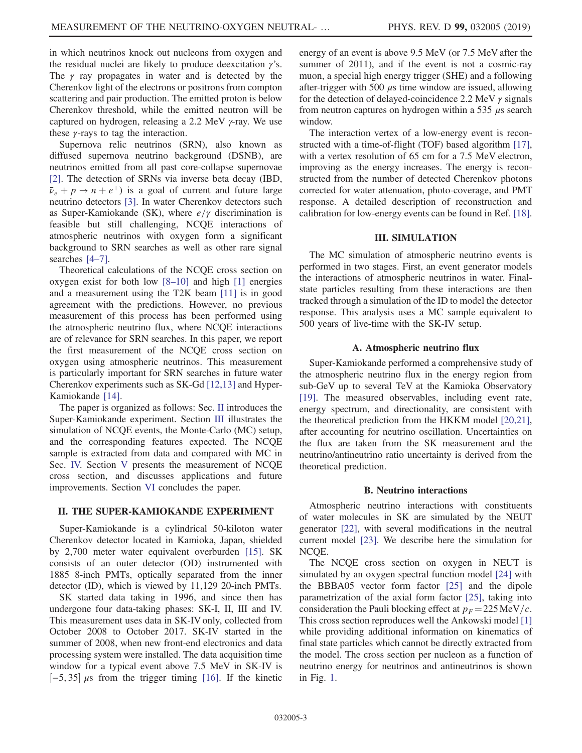in which neutrinos knock out nucleons from oxygen and the residual nuclei are likely to produce deexcitation  $\gamma$ 's. The  $\gamma$  ray propagates in water and is detected by the Cherenkov light of the electrons or positrons from compton scattering and pair production. The emitted proton is below Cherenkov threshold, while the emitted neutron will be captured on hydrogen, releasing a 2.2 MeV γ-ray. We use these  $\gamma$ -rays to tag the interaction.

Supernova relic neutrinos (SRN), also known as diffused supernova neutrino background (DSNB), are neutrinos emitted from all past core-collapse supernovae [\[2\]](#page-9-1). The detection of SRNs via inverse beta decay (IBD,  $\bar{\nu}_e + p \rightarrow n + e^+$ ) is a goal of current and future large neutrino detectors [\[3\]](#page-9-2). In water Cherenkov detectors such as Super-Kamiokande (SK), where  $e/\gamma$  discrimination is feasible but still challenging, NCQE interactions of atmospheric neutrinos with oxygen form a significant background to SRN searches as well as other rare signal searches [4–[7\]](#page-9-3).

Theoretical calculations of the NCQE cross section on oxygen exist for both low [8–[10\]](#page-9-4) and high [\[1\]](#page-9-0) energies and a measurement using the T2K beam [\[11\]](#page-9-5) is in good agreement with the predictions. However, no previous measurement of this process has been performed using the atmospheric neutrino flux, where NCQE interactions are of relevance for SRN searches. In this paper, we report the first measurement of the NCQE cross section on oxygen using atmospheric neutrinos. This measurement is particularly important for SRN searches in future water Cherenkov experiments such as SK-Gd [\[12,13\]](#page-9-6) and Hyper-Kamiokande [\[14\]](#page-9-7).

The paper is organized as follows: Sec. [II](#page-2-0) introduces the Super-Kamiokande experiment. Section [III](#page-2-1) illustrates the simulation of NCQE events, the Monte-Carlo (MC) setup, and the corresponding features expected. The NCQE sample is extracted from data and compared with MC in Sec. [IV.](#page-3-0) Section [V](#page-6-0) presents the measurement of NCQE cross section, and discusses applications and future improvements. Section [VI](#page-9-8) concludes the paper.

## <span id="page-2-0"></span>II. THE SUPER-KAMIOKANDE EXPERIMENT

Super-Kamiokande is a cylindrical 50-kiloton water Cherenkov detector located in Kamioka, Japan, shielded by 2,700 meter water equivalent overburden [\[15\]](#page-9-9). SK consists of an outer detector (OD) instrumented with 1885 8-inch PMTs, optically separated from the inner detector (ID), which is viewed by 11,129 20-inch PMTs.

SK started data taking in 1996, and since then has undergone four data-taking phases: SK-I, II, III and IV. This measurement uses data in SK-IV only, collected from October 2008 to October 2017. SK-IV started in the summer of 2008, when new front-end electronics and data processing system were installed. The data acquisition time window for a typical event above 7.5 MeV in SK-IV is  $[-5, 35]$  μs from the trigger timing [\[16\]](#page-9-10). If the kinetic energy of an event is above 9.5 MeV (or 7.5 MeV after the summer of 2011), and if the event is not a cosmic-ray muon, a special high energy trigger (SHE) and a following after-trigger with 500  $\mu$ s time window are issued, allowing for the detection of delayed-coincidence 2.2 MeV  $\gamma$  signals from neutron captures on hydrogen within a 535  $\mu$ s search window.

The interaction vertex of a low-energy event is reconstructed with a time-of-flight (TOF) based algorithm [\[17\]](#page-9-11), with a vertex resolution of 65 cm for a 7.5 MeV electron, improving as the energy increases. The energy is reconstructed from the number of detected Cherenkov photons corrected for water attenuation, photo-coverage, and PMT response. A detailed description of reconstruction and calibration for low-energy events can be found in Ref. [\[18\]](#page-9-12).

## III. SIMULATION

<span id="page-2-1"></span>The MC simulation of atmospheric neutrino events is performed in two stages. First, an event generator models the interactions of atmospheric neutrinos in water. Finalstate particles resulting from these interactions are then tracked through a simulation of the ID to model the detector response. This analysis uses a MC sample equivalent to 500 years of live-time with the SK-IV setup.

### A. Atmospheric neutrino flux

Super-Kamiokande performed a comprehensive study of the atmospheric neutrino flux in the energy region from sub-GeV up to several TeV at the Kamioka Observatory [\[19\]](#page-9-13). The measured observables, including event rate, energy spectrum, and directionality, are consistent with the theoretical prediction from the HKKM model [\[20,21\]](#page-9-14), after accounting for neutrino oscillation. Uncertainties on the flux are taken from the SK measurement and the neutrino/antineutrino ratio uncertainty is derived from the theoretical prediction.

#### B. Neutrino interactions

Atmospheric neutrino interactions with constituents of water molecules in SK are simulated by the NEUT generator [\[22\],](#page-9-15) with several modifications in the neutral current model [\[23\]](#page-9-16). We describe here the simulation for NCOE.

The NCQE cross section on oxygen in NEUT is simulated by an oxygen spectral function model [\[24\]](#page-9-17) with the BBBA05 vector form factor [\[25\]](#page-9-18) and the dipole parametrization of the axial form factor [\[25\]](#page-9-18), taking into consideration the Pauli blocking effect at  $p_F = 225 \text{ MeV}/c$ . This cross section reproduces well the Ankowski model [\[1\]](#page-9-0) while providing additional information on kinematics of final state particles which cannot be directly extracted from the model. The cross section per nucleon as a function of neutrino energy for neutrinos and antineutrinos is shown in Fig. [1](#page-3-1).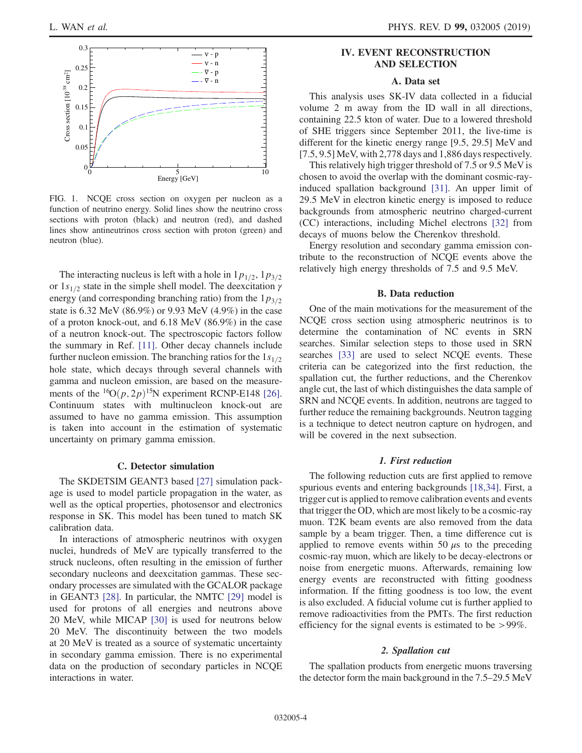<span id="page-3-1"></span>

FIG. 1. NCQE cross section on oxygen per nucleon as a function of neutrino energy. Solid lines show the neutrino cross sections with proton (black) and neutron (red), and dashed lines show antineutrinos cross section with proton (green) and neutron (blue).

The interacting nucleus is left with a hole in  $1p_{1/2}$ ,  $1p_{3/2}$ or  $1s_{1/2}$  state in the simple shell model. The deexcitation  $\gamma$ energy (and corresponding branching ratio) from the  $1p_{3/2}$ state is 6.32 MeV (86.9%) or 9.93 MeV (4.9%) in the case of a proton knock-out, and 6.18 MeV (86.9%) in the case of a neutron knock-out. The spectroscopic factors follow the summary in Ref. [\[11\].](#page-9-5) Other decay channels include further nucleon emission. The branching ratios for the  $1s_{1/2}$ hole state, which decays through several channels with gamma and nucleon emission, are based on the measurements of the  ${}^{16}O(p, 2p)$ <sup>15</sup>N experiment RCNP-E148 [\[26\]](#page-9-19). Continuum states with multinucleon knock-out are assumed to have no gamma emission. This assumption is taken into account in the estimation of systematic uncertainty on primary gamma emission.

#### C. Detector simulation

The SKDETSIM GEANT3 based [\[27\]](#page-9-20) simulation package is used to model particle propagation in the water, as well as the optical properties, photosensor and electronics response in SK. This model has been tuned to match SK calibration data.

In interactions of atmospheric neutrinos with oxygen nuclei, hundreds of MeV are typically transferred to the struck nucleons, often resulting in the emission of further secondary nucleons and deexcitation gammas. These secondary processes are simulated with the GCALOR package in GEANT3 [\[28\]](#page-9-21). In particular, the NMTC [\[29\]](#page-9-22) model is used for protons of all energies and neutrons above 20 MeV, while MICAP [\[30\]](#page-9-23) is used for neutrons below 20 MeV. The discontinuity between the two models at 20 MeV is treated as a source of systematic uncertainty in secondary gamma emission. There is no experimental data on the production of secondary particles in NCQE interactions in water.

## <span id="page-3-0"></span>IV. EVENT RECONSTRUCTION AND SELECTION

## A. Data set

This analysis uses SK-IV data collected in a fiducial volume 2 m away from the ID wall in all directions, containing 22.5 kton of water. Due to a lowered threshold of SHE triggers since September 2011, the live-time is different for the kinetic energy range [9.5, 29.5] MeV and [7.5, 9.5] MeV, with 2,778 days and 1,886 days respectively.

This relatively high trigger threshold of 7.5 or 9.5 MeV is chosen to avoid the overlap with the dominant cosmic-rayinduced spallation background [\[31\]](#page-9-24). An upper limit of 29.5 MeV in electron kinetic energy is imposed to reduce backgrounds from atmospheric neutrino charged-current (CC) interactions, including Michel electrons [\[32\]](#page-9-25) from decays of muons below the Cherenkov threshold.

Energy resolution and secondary gamma emission contribute to the reconstruction of NCQE events above the relatively high energy thresholds of 7.5 and 9.5 MeV.

## B. Data reduction

One of the main motivations for the measurement of the NCQE cross section using atmospheric neutrinos is to determine the contamination of NC events in SRN searches. Similar selection steps to those used in SRN searches [\[33\]](#page-9-26) are used to select NCQE events. These criteria can be categorized into the first reduction, the spallation cut, the further reductions, and the Cherenkov angle cut, the last of which distinguishes the data sample of SRN and NCQE events. In addition, neutrons are tagged to further reduce the remaining backgrounds. Neutron tagging is a technique to detect neutron capture on hydrogen, and will be covered in the next subsection.

## 1. First reduction

The following reduction cuts are first applied to remove spurious events and entering backgrounds [\[18,34\].](#page-9-12) First, a trigger cut is applied to remove calibration events and events that trigger the OD, which are most likely to be a cosmic-ray muon. T2K beam events are also removed from the data sample by a beam trigger. Then, a time difference cut is applied to remove events within 50  $\mu$ s to the preceding cosmic-ray muon, which are likely to be decay-electrons or noise from energetic muons. Afterwards, remaining low energy events are reconstructed with fitting goodness information. If the fitting goodness is too low, the event is also excluded. A fiducial volume cut is further applied to remove radioactivities from the PMTs. The first reduction efficiency for the signal events is estimated to be >99%.

#### 2. Spallation cut

The spallation products from energetic muons traversing the detector form the main background in the 7.5–29.5 MeV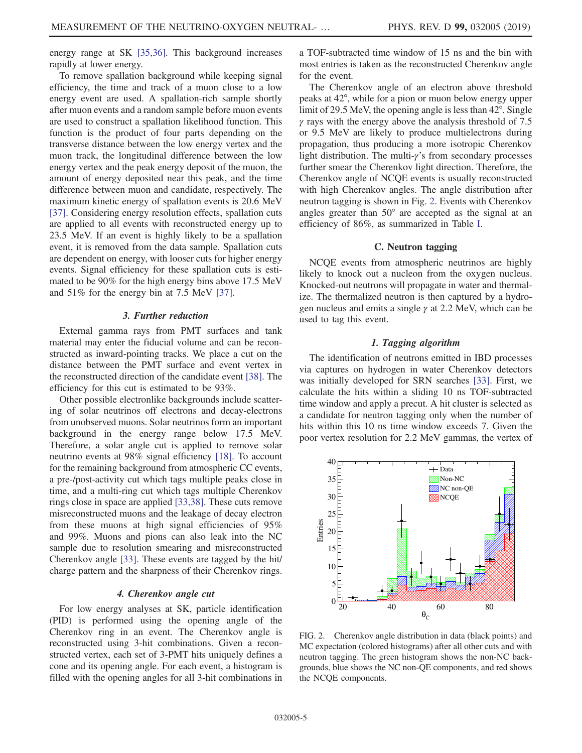energy range at SK [\[35,36\]](#page-9-27). This background increases rapidly at lower energy.

To remove spallation background while keeping signal efficiency, the time and track of a muon close to a low energy event are used. A spallation-rich sample shortly after muon events and a random sample before muon events are used to construct a spallation likelihood function. This function is the product of four parts depending on the transverse distance between the low energy vertex and the muon track, the longitudinal difference between the low energy vertex and the peak energy deposit of the muon, the amount of energy deposited near this peak, and the time difference between muon and candidate, respectively. The maximum kinetic energy of spallation events is 20.6 MeV [\[37\]](#page-10-0). Considering energy resolution effects, spallation cuts are applied to all events with reconstructed energy up to 23.5 MeV. If an event is highly likely to be a spallation event, it is removed from the data sample. Spallation cuts are dependent on energy, with looser cuts for higher energy events. Signal efficiency for these spallation cuts is estimated to be 90% for the high energy bins above 17.5 MeV and 51% for the energy bin at 7.5 MeV [\[37\].](#page-10-0)

### 3. Further reduction

External gamma rays from PMT surfaces and tank material may enter the fiducial volume and can be reconstructed as inward-pointing tracks. We place a cut on the distance between the PMT surface and event vertex in the reconstructed direction of the candidate event [\[38\].](#page-10-1) The efficiency for this cut is estimated to be 93%.

Other possible electronlike backgrounds include scattering of solar neutrinos off electrons and decay-electrons from unobserved muons. Solar neutrinos form an important background in the energy range below 17.5 MeV. Therefore, a solar angle cut is applied to remove solar neutrino events at 98% signal efficiency [\[18\]](#page-9-12). To account for the remaining background from atmospheric CC events, a pre-/post-activity cut which tags multiple peaks close in time, and a multi-ring cut which tags multiple Cherenkov rings close in space are applied [\[33,38\]](#page-9-26). These cuts remove misreconstructed muons and the leakage of decay electron from these muons at high signal efficiencies of 95% and 99%. Muons and pions can also leak into the NC sample due to resolution smearing and misreconstructed Cherenkov angle [\[33\].](#page-9-26) These events are tagged by the hit/ charge pattern and the sharpness of their Cherenkov rings.

### 4. Cherenkov angle cut

For low energy analyses at SK, particle identification (PID) is performed using the opening angle of the Cherenkov ring in an event. The Cherenkov angle is reconstructed using 3-hit combinations. Given a reconstructed vertex, each set of 3-PMT hits uniquely defines a cone and its opening angle. For each event, a histogram is filled with the opening angles for all 3-hit combinations in a TOF-subtracted time window of 15 ns and the bin with most entries is taken as the reconstructed Cherenkov angle for the event.

The Cherenkov angle of an electron above threshold peaks at 42°, while for a pion or muon below energy upper limit of 29.5 MeV, the opening angle is less than 42°. Single  $\gamma$  rays with the energy above the analysis threshold of 7.5 or 9.5 MeV are likely to produce multielectrons during propagation, thus producing a more isotropic Cherenkov light distribution. The multi-γ's from secondary processes further smear the Cherenkov light direction. Therefore, the Cherenkov angle of NCQE events is usually reconstructed with high Cherenkov angles. The angle distribution after neutron tagging is shown in Fig. [2](#page-4-0). Events with Cherenkov angles greater than 50° are accepted as the signal at an efficiency of 86%, as summarized in Table [I](#page-5-0).

## C. Neutron tagging

NCQE events from atmospheric neutrinos are highly likely to knock out a nucleon from the oxygen nucleus. Knocked-out neutrons will propagate in water and thermalize. The thermalized neutron is then captured by a hydrogen nucleus and emits a single  $\gamma$  at 2.2 MeV, which can be used to tag this event.

#### 1. Tagging algorithm

The identification of neutrons emitted in IBD processes via captures on hydrogen in water Cherenkov detectors was initially developed for SRN searches [\[33\]](#page-9-26). First, we calculate the hits within a sliding 10 ns TOF-subtracted time window and apply a precut. A hit cluster is selected as a candidate for neutron tagging only when the number of hits within this 10 ns time window exceeds 7. Given the poor vertex resolution for 2.2 MeV gammas, the vertex of

<span id="page-4-0"></span>

FIG. 2. Cherenkov angle distribution in data (black points) and MC expectation (colored histograms) after all other cuts and with neutron tagging. The green histogram shows the non-NC backgrounds, blue shows the NC non-QE components, and red shows the NCQE components.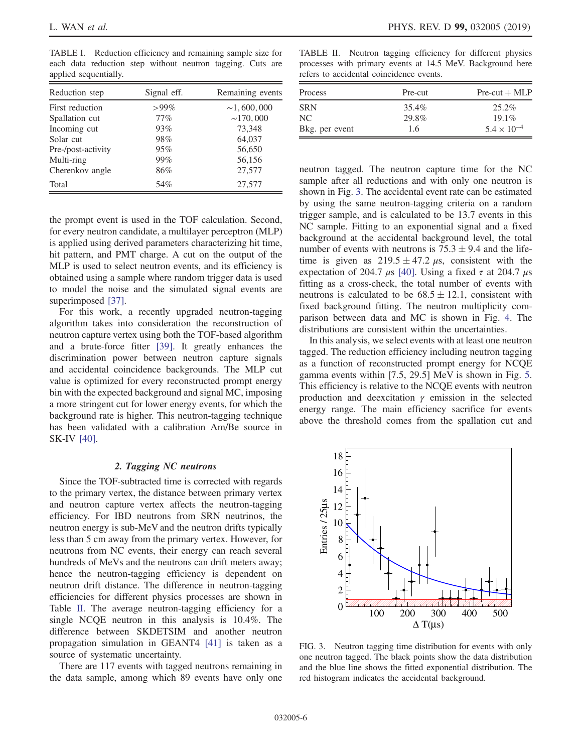<span id="page-5-0"></span>TABLE I. Reduction efficiency and remaining sample size for each data reduction step without neutron tagging. Cuts are applied sequentially.

| Reduction step     | Signal eff. | Remaining events |
|--------------------|-------------|------------------|
| First reduction    | $>99\%$     | $\sim$ 1,600,000 |
| Spallation cut     | $77\%$      | $\sim$ 170,000   |
| Incoming cut       | 93%         | 73,348           |
| Solar cut          | 98%         | 64,037           |
| Pre-/post-activity | 95%         | 56,650           |
| Multi-ring         | 99%         | 56,156           |
| Cherenkov angle    | 86%         | 27,577           |
| Total              | 54%         | 27,577           |

<span id="page-5-1"></span>TABLE II. Neutron tagging efficiency for different physics processes with primary events at 14.5 MeV. Background here refers to accidental coincidence events.

| Process        | Pre-cut | $Pre-cut + MLP$      |
|----------------|---------|----------------------|
| <b>SRN</b>     | 35.4%   | $25.2\%$             |
| NC.            | 29.8%   | $19.1\%$             |
| Bkg. per event | 1.6     | $5.4 \times 10^{-4}$ |

neutron tagged. The neutron capture time for the NC sample after all reductions and with only one neutron is shown in Fig. [3.](#page-5-2) The accidental event rate can be estimated by using the same neutron-tagging criteria on a random trigger sample, and is calculated to be 13.7 events in this NC sample. Fitting to an exponential signal and a fixed background at the accidental background level, the total number of events with neutrons is  $75.3 \pm 9.4$  and the lifetime is given as  $219.5 \pm 47.2 \mu s$ , consistent with the expectation of 204.7  $\mu$ s [\[40\]](#page-10-3). Using a fixed  $\tau$  at 204.7  $\mu$ s fitting as a cross-check, the total number of events with neutrons is calculated to be  $68.5 \pm 12.1$ , consistent with fixed background fitting. The neutron multiplicity comparison between data and MC is shown in Fig. [4](#page-6-1). The distributions are consistent within the uncertainties.

In this analysis, we select events with at least one neutron tagged. The reduction efficiency including neutron tagging as a function of reconstructed prompt energy for NCQE gamma events within [7.5, 29.5] MeV is shown in Fig. [5](#page-6-2). This efficiency is relative to the NCQE events with neutron production and deexcitation  $\gamma$  emission in the selected energy range. The main efficiency sacrifice for events above the threshold comes from the spallation cut and

<span id="page-5-2"></span>

FIG. 3. Neutron tagging time distribution for events with only one neutron tagged. The black points show the data distribution and the blue line shows the fitted exponential distribution. The red histogram indicates the accidental background.

the prompt event is used in the TOF calculation. Second, for every neutron candidate, a multilayer perceptron (MLP) is applied using derived parameters characterizing hit time, hit pattern, and PMT charge. A cut on the output of the MLP is used to select neutron events, and its efficiency is obtained using a sample where random trigger data is used to model the noise and the simulated signal events are superimposed [\[37\].](#page-10-0)

For this work, a recently upgraded neutron-tagging algorithm takes into consideration the reconstruction of neutron capture vertex using both the TOF-based algorithm and a brute-force fitter [\[39\].](#page-10-2) It greatly enhances the discrimination power between neutron capture signals and accidental coincidence backgrounds. The MLP cut value is optimized for every reconstructed prompt energy bin with the expected background and signal MC, imposing a more stringent cut for lower energy events, for which the background rate is higher. This neutron-tagging technique has been validated with a calibration Am/Be source in SK-IV [\[40\].](#page-10-3)

#### 2. Tagging NC neutrons

Since the TOF-subtracted time is corrected with regards to the primary vertex, the distance between primary vertex and neutron capture vertex affects the neutron-tagging efficiency. For IBD neutrons from SRN neutrinos, the neutron energy is sub-MeV and the neutron drifts typically less than 5 cm away from the primary vertex. However, for neutrons from NC events, their energy can reach several hundreds of MeVs and the neutrons can drift meters away; hence the neutron-tagging efficiency is dependent on neutron drift distance. The difference in neutron-tagging efficiencies for different physics processes are shown in Table [II](#page-5-1). The average neutron-tagging efficiency for a single NCQE neutron in this analysis is 10.4%. The difference between SKDETSIM and another neutron propagation simulation in GEANT4 [\[41\]](#page-10-4) is taken as a source of systematic uncertainty.

There are 117 events with tagged neutrons remaining in the data sample, among which 89 events have only one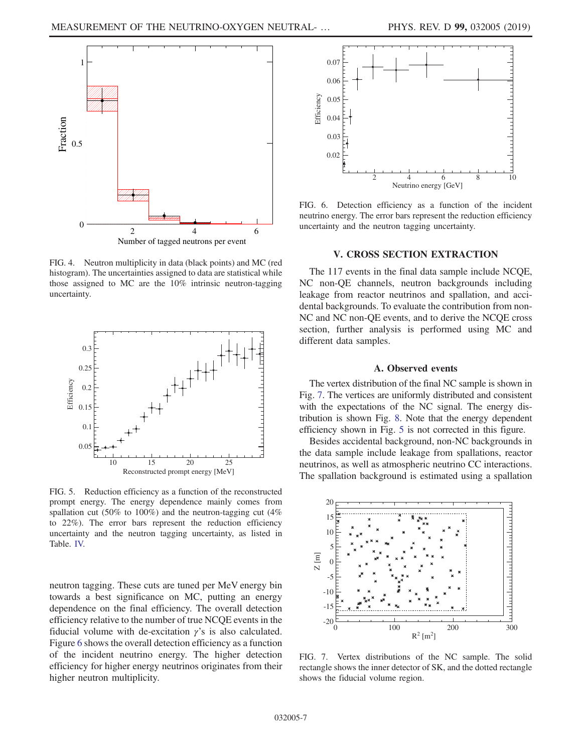<span id="page-6-1"></span>

FIG. 4. Neutron multiplicity in data (black points) and MC (red histogram). The uncertainties assigned to data are statistical while those assigned to MC are the 10% intrinsic neutron-tagging uncertainty.

<span id="page-6-2"></span>

FIG. 5. Reduction efficiency as a function of the reconstructed prompt energy. The energy dependence mainly comes from spallation cut (50% to 100%) and the neutron-tagging cut (4% to 22%). The error bars represent the reduction efficiency uncertainty and the neutron tagging uncertainty, as listed in Table. [IV.](#page-8-0)

neutron tagging. These cuts are tuned per MeV energy bin towards a best significance on MC, putting an energy dependence on the final efficiency. The overall detection efficiency relative to the number of true NCQE events in the fiducial volume with de-excitation  $\gamma$ 's is also calculated. Figure [6](#page-6-3) shows the overall detection efficiency as a function of the incident neutrino energy. The higher detection efficiency for higher energy neutrinos originates from their higher neutron multiplicity.

<span id="page-6-3"></span>

FIG. 6. Detection efficiency as a function of the incident neutrino energy. The error bars represent the reduction efficiency uncertainty and the neutron tagging uncertainty.

## V. CROSS SECTION EXTRACTION

<span id="page-6-0"></span>The 117 events in the final data sample include NCQE, NC non-QE channels, neutron backgrounds including leakage from reactor neutrinos and spallation, and accidental backgrounds. To evaluate the contribution from non-NC and NC non-QE events, and to derive the NCQE cross section, further analysis is performed using MC and different data samples.

#### A. Observed events

The vertex distribution of the final NC sample is shown in Fig. [7](#page-6-4). The vertices are uniformly distributed and consistent with the expectations of the NC signal. The energy distribution is shown Fig. [8](#page-7-0). Note that the energy dependent efficiency shown in Fig. [5](#page-6-2) is not corrected in this figure.

Besides accidental background, non-NC backgrounds in the data sample include leakage from spallations, reactor neutrinos, as well as atmospheric neutrino CC interactions. The spallation background is estimated using a spallation

<span id="page-6-4"></span>

FIG. 7. Vertex distributions of the NC sample. The solid rectangle shows the inner detector of SK, and the dotted rectangle shows the fiducial volume region.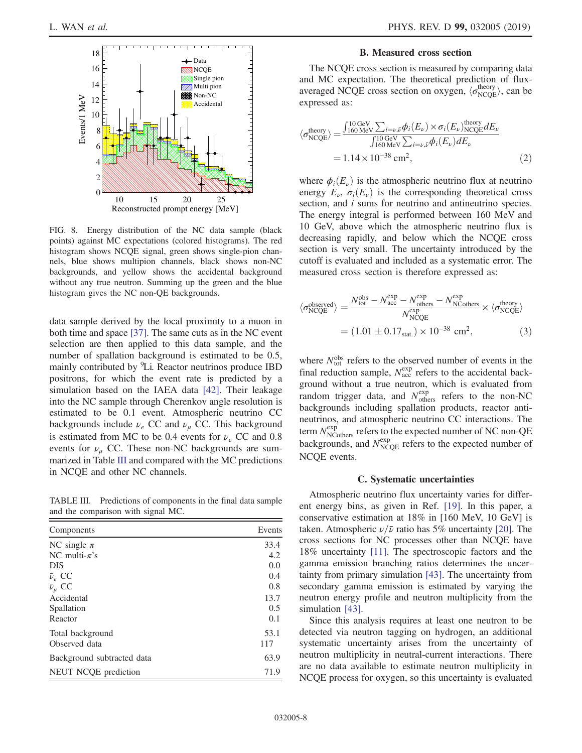<span id="page-7-0"></span>

FIG. 8. Energy distribution of the NC data sample (black points) against MC expectations (colored histograms). The red histogram shows NCQE signal, green shows single-pion channels, blue shows multipion channels, black shows non-NC backgrounds, and yellow shows the accidental background without any true neutron. Summing up the green and the blue histogram gives the NC non-QE backgrounds.

data sample derived by the local proximity to a muon in both time and space [\[37\]](#page-10-0). The same cuts as in the NC event selection are then applied to this data sample, and the number of spallation background is estimated to be 0.5, mainly contributed by <sup>9</sup>Li. Reactor neutrinos produce IBD positrons, for which the event rate is predicted by a simulation based on the IAEA data [\[42\].](#page-10-5) Their leakage into the NC sample through Cherenkov angle resolution is estimated to be 0.1 event. Atmospheric neutrino CC backgrounds include  $\nu_e$  CC and  $\nu_\mu$  CC. This background is estimated from MC to be 0.4 events for  $\nu_e$  CC and 0.8 events for  $\nu_{\mu}$  CC. These non-NC backgrounds are summarized in Table [III](#page-7-1) and compared with the MC predictions in NCQE and other NC channels.

<span id="page-7-1"></span>TABLE III. Predictions of components in the final data sample and the comparison with signal MC.

| Components                 | Events |
|----------------------------|--------|
| NC single $\pi$            | 33.4   |
| NC multi- $\pi$ 's         | 4.2    |
| <b>DIS</b>                 | 0.0    |
| $\bar{\nu}_e$ CC           | 0.4    |
| $\bar{\nu}_{\mu}$ CC       | 0.8    |
| Accidental                 | 13.7   |
| Spallation                 | 0.5    |
| Reactor                    | 0.1    |
| Total background           | 53.1   |
| Observed data              | 117    |
| Background subtracted data | 63.9   |
| NEUT NCQE prediction       | 71.9   |

#### B. Measured cross section

The NCQE cross section is measured by comparing data and MC expectation. The theoretical prediction of fluxaveraged NCQE cross section on oxygen,  $\langle \sigma_{NCQE}^{\text{theory}} \rangle$ , can be expressed as:

$$
\langle \sigma_{\text{NCQE}}^{\text{theory}} \rangle = \frac{\int_{160 \text{ MeV}}^{10 \text{ GeV}} \sum_{i=\nu,\bar{\nu}} \phi_i(E_{\nu}) \times \sigma_i(E_{\nu})_{\text{NCQE}}^{\text{theory}} dE_{\nu}}{\int_{160 \text{ MeV}}^{10 \text{ GeV}} \sum_{i=\nu,\bar{\nu}} \phi_i(E_{\nu}) dE_{\nu}}
$$
  
= 1.14 × 10<sup>-38</sup> cm<sup>2</sup>, (2)

where  $\phi_i(E_v)$  is the atmospheric neutrino flux at neutrino energy  $E_{\nu}$ ,  $\sigma_i(E_{\nu})$  is the corresponding theoretical cross section, and *i* sums for neutrino and antineutrino species. The energy integral is performed between 160 MeV and 10 GeV, above which the atmospheric neutrino flux is decreasing rapidly, and below which the NCQE cross section is very small. The uncertainty introduced by the cutoff is evaluated and included as a systematic error. The measured cross section is therefore expressed as:

$$
\langle \sigma_{\text{NCQE}}^{\text{observed}} \rangle = \frac{N_{\text{tot}}^{\text{obs}} - N_{\text{acc}}^{\text{exp}} - N_{\text{NC}^{\text{exp}}}^{\text{exp}} - N_{\text{NC}^{\text{opt}}}^{\text{exp}}}{N_{\text{NCQE}}^{\text{exp}}} \times \langle \sigma_{\text{NCQE}}^{\text{theory}} \rangle
$$

$$
= (1.01 \pm 0.17_{\text{stat.}}) \times 10^{-38} \text{ cm}^2, \tag{3}
$$

where  $N_{\text{tot}}^{\text{obs}}$  refers to the observed number of events in the final reduction sample,  $N_{\text{acc}}^{\text{exp}}$  refers to the accidental background without a true neutron, which is evaluated from random trigger data, and  $N_{\text{others}}^{\text{exp}}$  refers to the non-NC backgrounds including spallation products, reactor antineutrinos, and atmospheric neutrino CC interactions. The term  $N_{\text{NCothers}}^{\text{exp}}$  refers to the expected number of NC non-QE backgrounds, and  $N_{\text{NCQE}}^{\text{exp}}$  refers to the expected number of NCOE events.

#### C. Systematic uncertainties

Atmospheric neutrino flux uncertainty varies for different energy bins, as given in Ref. [\[19\]](#page-9-13). In this paper, a conservative estimation at 18% in [160 MeV, 10 GeV] is taken. Atmospheric  $\nu/\bar{\nu}$  ratio has 5% uncertainty [\[20\].](#page-9-14) The cross sections for NC processes other than NCQE have 18% uncertainty [\[11\].](#page-9-5) The spectroscopic factors and the gamma emission branching ratios determines the uncertainty from primary simulation [\[43\]](#page-10-6). The uncertainty from secondary gamma emission is estimated by varying the neutron energy profile and neutron multiplicity from the simulation [\[43\].](#page-10-6)

Since this analysis requires at least one neutron to be detected via neutron tagging on hydrogen, an additional systematic uncertainty arises from the uncertainty of neutron multiplicity in neutral-current interactions. There are no data available to estimate neutron multiplicity in NCQE process for oxygen, so this uncertainty is evaluated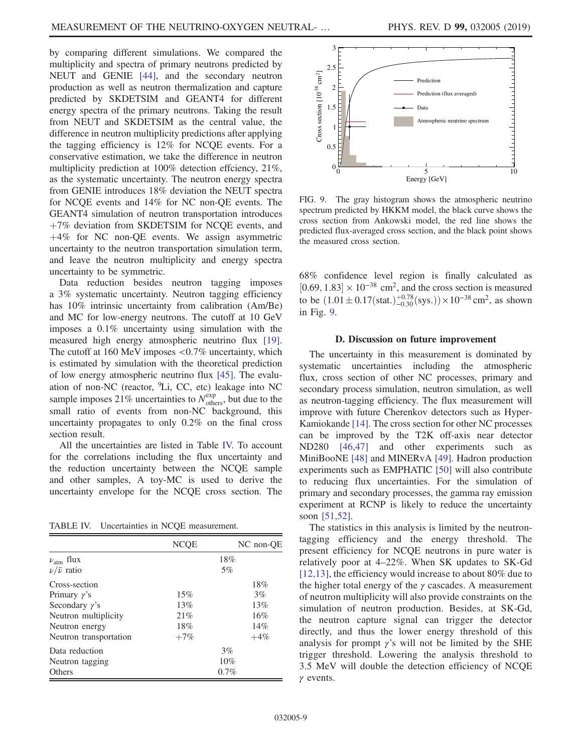by comparing different simulations. We compared the multiplicity and spectra of primary neutrons predicted by NEUT and GENIE [\[44\]](#page-10-7), and the secondary neutron production as well as neutron thermalization and capture predicted by SKDETSIM and GEANT4 for different energy spectra of the primary neutrons. Taking the result from NEUT and SKDETSIM as the central value, the difference in neutron multiplicity predictions after applying the tagging efficiency is 12% for NCQE events. For a conservative estimation, we take the difference in neutron multiplicity prediction at 100% detection effciency, 21%, as the systematic uncertainty. The neutron energy spectra from GENIE introduces 18% deviation the NEUT spectra for NCQE events and 14% for NC non-QE events. The GEANT4 simulation of neutron transportation introduces  $+7\%$  deviation from SKDETSIM for NCQE events, and  $+4\%$  for NC non-QE events. We assign asymmetric uncertainty to the neutron transportation simulation term, and leave the neutron multiplicity and energy spectra uncertainty to be symmetric.

Data reduction besides neutron tagging imposes a 3% systematic uncertainty. Neutron tagging efficiency has 10% intrinsic uncertainty from calibration (Am/Be) and MC for low-energy neutrons. The cutoff at 10 GeV imposes a 0.1% uncertainty using simulation with the measured high energy atmospheric neutrino flux [\[19\]](#page-9-13). The cutoff at 160 MeV imposes <0.7% uncertainty, which is estimated by simulation with the theoretical prediction of low energy atmospheric neutrino flux [\[45\]](#page-10-8). The evaluation of non-NC (reactor, <sup>9</sup>Li, CC, etc) leakage into NC sample imposes 21% uncertainties to  $N_{\text{others}}^{\text{exp}}$ , but due to the small ratio of events from non-NC background, this uncertainty propagates to only 0.2% on the final cross section result.

All the uncertainties are listed in Table [IV.](#page-8-0) To account for the correlations including the flux uncertainty and the reduction uncertainty between the NCQE sample and other samples, A toy-MC is used to derive the uncertainty envelope for the NCQE cross section. The

<span id="page-8-0"></span>TABLE IV. Uncertainties in NCQE measurement.

|                         | <b>NCOE</b> | NC non-OE |
|-------------------------|-------------|-----------|
| $\nu_{\text{atm}}$ flux | 18%         |           |
| $\nu/\bar{\nu}$ ratio   | 5%          |           |
| Cross-section           |             | 18%       |
| Primary $\gamma$ 's     | 15%         | 3%        |
| Secondary $\gamma$ 's   | 13%         | 13%       |
| Neutron multiplicity    | 21%         | 16%       |
| Neutron energy          | 18%         | 14%       |
| Neutron transportation  | $+7%$       | $+4%$     |
| Data reduction          | 3%          |           |
| Neutron tagging         | 10%         |           |
| Others                  | 0.7%        |           |

<span id="page-8-1"></span>

FIG. 9. The gray histogram shows the atmospheric neutrino spectrum predicted by HKKM model, the black curve shows the cross section from Ankowski model, the red line shows the predicted flux-averaged cross section, and the black point shows the measured cross section.

68% confidence level region is finally calculated as  $[0.69, 1.83] \times 10^{-38}$  cm<sup>2</sup>, and the cross section is measured to be  $(1.01 \pm 0.17(stat.)^{+0.78}_{-0.30}(sys.)) \times 10^{-38}$  cm<sup>2</sup>, as shown in Fig. [9](#page-8-1).

## D. Discussion on future improvement

The uncertainty in this measurement is dominated by systematic uncertainties including the atmospheric flux, cross section of other NC processes, primary and secondary process simulation, neutron simulation, as well as neutron-tagging efficiency. The flux measurement will improve with future Cherenkov detectors such as Hyper-Kamiokande [\[14\].](#page-9-7) The cross section for other NC processes can be improved by the T2K off-axis near detector ND280 [\[46,47\]](#page-10-9) and other experiments such as MiniBooNE [\[48\]](#page-10-10) and MINERvA [\[49\].](#page-10-11) Hadron production experiments such as EMPHATIC [\[50\]](#page-10-12) will also contribute to reducing flux uncertainties. For the simulation of primary and secondary processes, the gamma ray emission experiment at RCNP is likely to reduce the uncertainty soon [\[51,52\].](#page-10-13)

The statistics in this analysis is limited by the neutrontagging efficiency and the energy threshold. The present efficiency for NCQE neutrons in pure water is relatively poor at 4–22%. When SK updates to SK-Gd [\[12,13\]](#page-9-6), the efficiency would increase to about 80% due to the higher total energy of the  $\gamma$  cascades. A measurement of neutron multiplicity will also provide constraints on the simulation of neutron production. Besides, at SK-Gd, the neutron capture signal can trigger the detector directly, and thus the lower energy threshold of this analysis for prompt  $\gamma$ 's will not be limited by the SHE trigger threshold. Lowering the analysis threshold to 3.5 MeV will double the detection efficiency of NCQE  $\gamma$  events.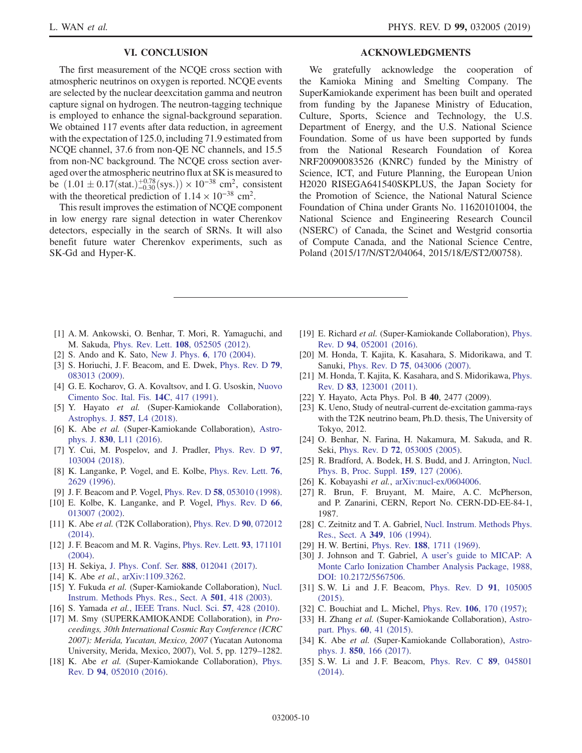## VI. CONCLUSION

<span id="page-9-8"></span>The first measurement of the NCQE cross section with atmospheric neutrinos on oxygen is reported. NCQE events are selected by the nuclear deexcitation gamma and neutron capture signal on hydrogen. The neutron-tagging technique is employed to enhance the signal-background separation. We obtained 117 events after data reduction, in agreement with the expectation of 125.0, including 71.9 estimated from NCQE channel, 37.6 from non-QE NC channels, and 15.5 from non-NC background. The NCQE cross section averaged over the atmospheric neutrino flux at SK is measured to be  $(1.01 \pm 0.17 \text{(stat.)}^{+0.78}_{-0.30} \text{(sys.)}) \times 10^{-38} \text{ cm}^2$ , consistent with the theoretical prediction of  $1.14 \times 10^{-38}$  cm<sup>2</sup>.

This result improves the estimation of NCQE component in low energy rare signal detection in water Cherenkov detectors, especially in the search of SRNs. It will also benefit future water Cherenkov experiments, such as SK-Gd and Hyper-K.

#### ACKNOWLEDGMENTS

We gratefully acknowledge the cooperation of the Kamioka Mining and Smelting Company. The SuperKamiokande experiment has been built and operated from funding by the Japanese Ministry of Education, Culture, Sports, Science and Technology, the U.S. Department of Energy, and the U.S. National Science Foundation. Some of us have been supported by funds from the National Research Foundation of Korea NRF20090083526 (KNRC) funded by the Ministry of Science, ICT, and Future Planning, the European Union H2020 RISEGA641540SKPLUS, the Japan Society for the Promotion of Science, the National Natural Science Foundation of China under Grants No. 11620101004, the National Science and Engineering Research Council (NSERC) of Canada, the Scinet and Westgrid consortia of Compute Canada, and the National Science Centre, Poland (2015/17/N/ST2/04064, 2015/18/E/ST2/00758).

- <span id="page-9-0"></span>[1] A. M. Ankowski, O. Benhar, T. Mori, R. Yamaguchi, and M. Sakuda, Phys. Rev. Lett. 108[, 052505 \(2012\)](https://doi.org/10.1103/PhysRevLett.108.052505).
- <span id="page-9-1"></span>[2] S. Ando and K. Sato, [New J. Phys.](https://doi.org/10.1088/1367-2630/6/1/170) 6, 170 (2004).
- <span id="page-9-2"></span>[3] S. Horiuchi, J. F. Beacom, and E. Dwek, [Phys. Rev. D](https://doi.org/10.1103/PhysRevD.79.083013) 79, [083013 \(2009\).](https://doi.org/10.1103/PhysRevD.79.083013)
- <span id="page-9-3"></span>[4] G. E. Kocharov, G. A. Kovaltsov, and I. G. Usoskin, [Nuovo](https://doi.org/10.1007/BF02509184) [Cimento Soc. Ital. Fis.](https://doi.org/10.1007/BF02509184) 14C, 417 (1991).
- [5] Y. Hayato et al. (Super-Kamiokande Collaboration), [Astrophys. J.](https://doi.org/10.3847/2041-8213/aabaca) 857, L4 (2018).
- [6] K. Abe et al. (Super-Kamiokande Collaboration), [Astro-](https://doi.org/10.3847/2041-8205/830/1/L11)phys. J. 830[, L11 \(2016\)](https://doi.org/10.3847/2041-8205/830/1/L11).
- [7] Y. Cui, M. Pospelov, and J. Pradler, [Phys. Rev. D](https://doi.org/10.1103/PhysRevD.97.103004) 97, [103004 \(2018\).](https://doi.org/10.1103/PhysRevD.97.103004)
- <span id="page-9-4"></span>[8] K. Langanke, P. Vogel, and E. Kolbe, [Phys. Rev. Lett.](https://doi.org/10.1103/PhysRevLett.76.2629) **76**, [2629 \(1996\)](https://doi.org/10.1103/PhysRevLett.76.2629).
- [9] J. F. Beacom and P. Vogel, Phys. Rev. D 58[, 053010 \(1998\).](https://doi.org/10.1103/PhysRevD.58.053010)
- [10] E. Kolbe, K. Langanke, and P. Vogel, [Phys. Rev. D](https://doi.org/10.1103/PhysRevD.66.013007) 66, [013007 \(2002\).](https://doi.org/10.1103/PhysRevD.66.013007)
- <span id="page-9-5"></span>[11] K. Abe *et al.* (T2K Collaboration), [Phys. Rev. D](https://doi.org/10.1103/PhysRevD.90.072012) **90**, 072012 [\(2014\).](https://doi.org/10.1103/PhysRevD.90.072012)
- <span id="page-9-6"></span>[12] J. F. Beacom and M. R. Vagins, [Phys. Rev. Lett.](https://doi.org/10.1103/PhysRevLett.93.171101) 93, 171101 [\(2004\).](https://doi.org/10.1103/PhysRevLett.93.171101)
- <span id="page-9-7"></span>[13] H. Sekiya, [J. Phys. Conf. Ser.](https://doi.org/10.1088/1742-6596/888/1/012041) 888, 012041 (2017).
- <span id="page-9-9"></span>[14] K. Abe *et al.*, [arXiv:1109.3262](http://arXiv.org/abs/1109.3262).
- [15] Y. Fukuda et al. (Super-Kamiokande Collaboration), [Nucl.](https://doi.org/10.1016/S0168-9002(03)00425-X) [Instrum. Methods Phys. Res., Sect. A](https://doi.org/10.1016/S0168-9002(03)00425-X) 501, 418 (2003).
- <span id="page-9-11"></span><span id="page-9-10"></span>[16] S. Yamada et al., [IEEE Trans. Nucl. Sci.](https://doi.org/10.1109/TNS.2009.2034854) 57, 428 (2010).
- [17] M. Smy (SUPERKAMIOKANDE Collaboration), in *Pro*ceedings, 30th International Cosmic Ray Conference (ICRC 2007): Merida, Yucatan, Mexico, 2007 (Yucatan Autonoma University, Merida, Mexico, 2007), Vol. 5, pp. 1279–1282.
- <span id="page-9-12"></span>[18] K. Abe *et al.* (Super-Kamiokande Collaboration), [Phys.](https://doi.org/10.1103/PhysRevD.94.052010) Rev. D 94[, 052010 \(2016\)](https://doi.org/10.1103/PhysRevD.94.052010).
- <span id="page-9-13"></span>[19] E. Richard et al. (Super-Kamiokande Collaboration), [Phys.](https://doi.org/10.1103/PhysRevD.94.052001) Rev. D 94[, 052001 \(2016\)](https://doi.org/10.1103/PhysRevD.94.052001).
- <span id="page-9-14"></span>[20] M. Honda, T. Kajita, K. Kasahara, S. Midorikawa, and T. Sanuki, Phys. Rev. D 75[, 043006 \(2007\)](https://doi.org/10.1103/PhysRevD.75.043006).
- [21] M. Honda, T. Kajita, K. Kasahara, and S. Midorikawa, [Phys.](https://doi.org/10.1103/PhysRevD.83.123001) Rev. D 83[, 123001 \(2011\)](https://doi.org/10.1103/PhysRevD.83.123001).
- <span id="page-9-15"></span>[22] Y. Hayato, Acta Phys. Pol. B 40, 2477 (2009).
- <span id="page-9-16"></span>[23] K. Ueno, Study of neutral-current de-excitation gamma-rays with the T2K neutrino beam, Ph.D. thesis, The University of Tokyo, 2012.
- <span id="page-9-17"></span>[24] O. Benhar, N. Farina, H. Nakamura, M. Sakuda, and R. Seki, Phys. Rev. D 72[, 053005 \(2005\).](https://doi.org/10.1103/PhysRevD.72.053005)
- <span id="page-9-18"></span>[25] R. Bradford, A. Bodek, H. S. Budd, and J. Arrington, [Nucl.](https://doi.org/10.1016/j.nuclphysbps.2006.08.028) [Phys. B, Proc. Suppl.](https://doi.org/10.1016/j.nuclphysbps.2006.08.028) 159, 127 (2006).
- <span id="page-9-20"></span><span id="page-9-19"></span>[26] K. Kobayashi et al., [arXiv:nucl-ex/0604006](http://arXiv.org/abs/nucl-ex/0604006).
- [27] R. Brun, F. Bruyant, M. Maire, A. C. McPherson, and P. Zanarini, CERN, Report No. CERN-DD-EE-84-1, 1987.
- <span id="page-9-21"></span>[28] C. Zeitnitz and T. A. Gabriel, [Nucl. Instrum. Methods Phys.](https://doi.org/10.1016/0168-9002(94)90613-0) [Res., Sect. A](https://doi.org/10.1016/0168-9002(94)90613-0) 349, 106 (1994).
- <span id="page-9-23"></span><span id="page-9-22"></span>[29] H. W. Bertini, Phys. Rev. 188[, 1711 \(1969\)](https://doi.org/10.1103/PhysRev.188.1711).
- [30] J. Johnson and T. Gabriel, A user'[s guide to MICAP: A](https://doi.org/10.2172/5567506) [Monte Carlo Ionization Chamber Analysis Package, 1988,](https://doi.org/10.2172/5567506) [DOI: 10.2172/5567506.](https://doi.org/10.2172/5567506)
- <span id="page-9-24"></span>[31] S. W. Li and J. F. Beacom, [Phys. Rev. D](https://doi.org/10.1103/PhysRevD.91.105005) 91, 105005 [\(2015\).](https://doi.org/10.1103/PhysRevD.91.105005)
- <span id="page-9-26"></span><span id="page-9-25"></span>[32] C. Bouchiat and L. Michel, Phys. Rev. 106[, 170 \(1957\)](https://doi.org/10.1103/PhysRev.106.170);
- [33] H. Zhang et al. (Super-Kamiokande Collaboration), [Astro](https://doi.org/10.1016/j.astropartphys.2014.05.004)part. Phys. 60[, 41 \(2015\)](https://doi.org/10.1016/j.astropartphys.2014.05.004).
- [34] K. Abe et al. (Super-Kamiokande Collaboration), [Astro](https://doi.org/10.3847/1538-4357/aa951b)phys. J. 850[, 166 \(2017\)](https://doi.org/10.3847/1538-4357/aa951b).
- <span id="page-9-27"></span>[35] S.W. Li and J.F. Beacom, [Phys. Rev. C](https://doi.org/10.1103/PhysRevC.89.045801) 89, 045801 [\(2014\).](https://doi.org/10.1103/PhysRevC.89.045801)